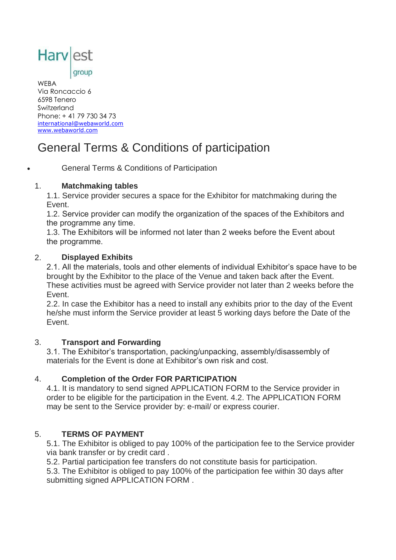

#### group

WEBA Via Roncaccio 6 6598 Tenero Switzerland Phone: + 41 79 730 34 73 [international@webaworld.com](mailto:international@webaworld.com) [www.webaworld.com](http://www.webaworld.com/) 

# General Terms & Conditions of participation

General Terms & Conditions of Participation

### 1. **Matchmaking tables**

1.1. Service provider secures a space for the Exhibitor for matchmaking during the Event.

1.2. Service provider can modify the organization of the spaces of the Exhibitors and the programme any time.

1.3. The Exhibitors will be informed not later than 2 weeks before the Event about the programme.

### 2. **Displayed Exhibits**

2.1. All the materials, tools and other elements of individual Exhibitor's space have to be brought by the Exhibitor to the place of the Venue and taken back after the Event. These activities must be agreed with Service provider not later than 2 weeks before the Event.

2.2. In case the Exhibitor has a need to install any exhibits prior to the day of the Event he/she must inform the Service provider at least 5 working days before the Date of the Event.

### 3. **Transport and Forwarding**

3.1. The Exhibitor's transportation, packing/unpacking, assembly/disassembly of materials for the Event is done at Exhibitor's own risk and cost.

# 4. **Completion of the Order FOR PARTICIPATION**

4.1. It is mandatory to send signed APPLICATION FORM to the Service provider in order to be eligible for the participation in the Event. 4.2. The APPLICATION FORM may be sent to the Service provider by: e-mail/ or express courier.

# 5. **TERMS OF PAYMENT**

5.1. The Exhibitor is obliged to pay 100% of the participation fee to the Service provider via bank transfer or by credit card .

5.2. Partial participation fee transfers do not constitute basis for participation.

5.3. The Exhibitor is obliged to pay 100% of the participation fee within 30 days after submitting signed APPLICATION FORM .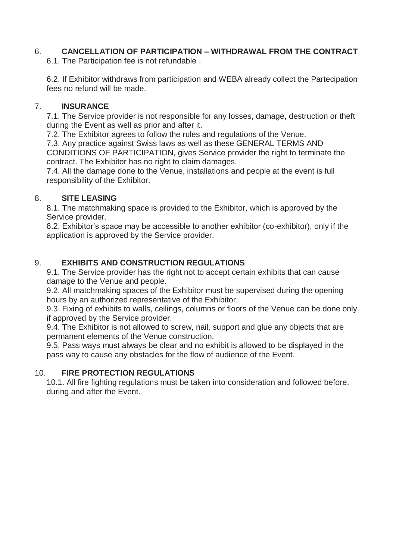# 6. **CANCELLATION OF PARTICIPATION – WITHDRAWAL FROM THE CONTRACT**

6.1. The Participation fee is not refundable .

6.2. If Exhibitor withdraws from participation and WEBA already collect the Partecipation fees no refund will be made.

## 7. **INSURANCE**

7.1. The Service provider is not responsible for any losses, damage, destruction or theft during the Event as well as prior and after it.

7.2. The Exhibitor agrees to follow the rules and regulations of the Venue.

7.3. Any practice against Swiss laws as well as these GENERAL TERMS AND CONDITIONS OF PARTICIPATION, gives Service provider the right to terminate the contract. The Exhibitor has no right to claim damages.

7.4. All the damage done to the Venue, installations and people at the event is full responsibility of the Exhibitor.

# 8. **SITE LEASING**

8.1. The matchmaking space is provided to the Exhibitor, which is approved by the Service provider.

8.2. Exhibitor's space may be accessible to another exhibitor (co-exhibitor), only if the application is approved by the Service provider.

# 9. **EXHIBITS AND CONSTRUCTION REGULATIONS**

9.1. The Service provider has the right not to accept certain exhibits that can cause damage to the Venue and people.

9.2. All matchmaking spaces of the Exhibitor must be supervised during the opening hours by an authorized representative of the Exhibitor.

9.3. Fixing of exhibits to walls, ceilings, columns or floors of the Venue can be done only if approved by the Service provider.

9.4. The Exhibitor is not allowed to screw, nail, support and glue any objects that are permanent elements of the Venue construction.

9.5. Pass ways must always be clear and no exhibit is allowed to be displayed in the pass way to cause any obstacles for the flow of audience of the Event.

# 10. **FIRE PROTECTION REGULATIONS**

10.1. All fire fighting regulations must be taken into consideration and followed before, during and after the Event.